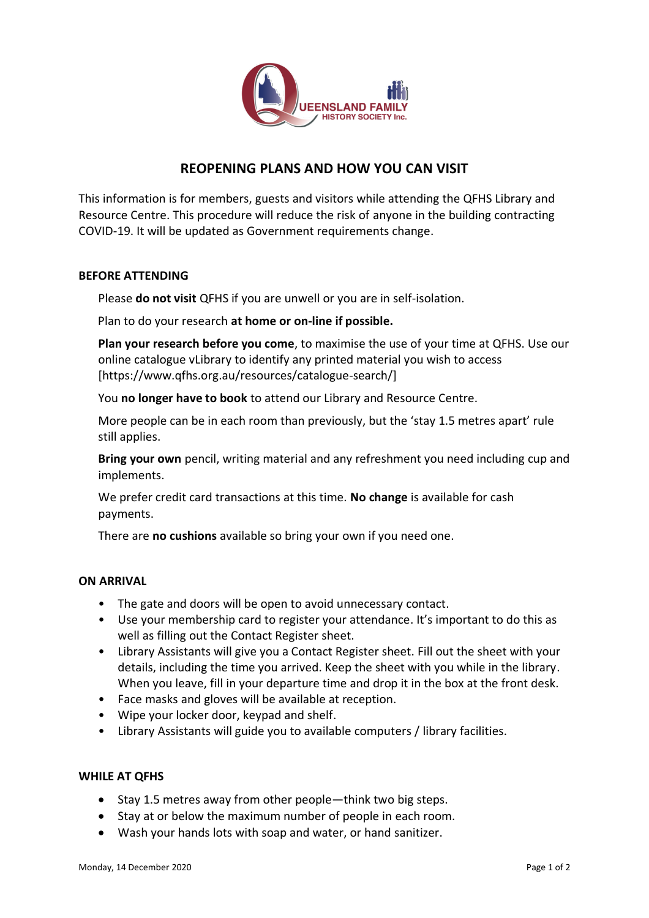

# **REOPENING PLANS AND HOW YOU CAN VISIT**

This information is for members, guests and visitors while attending the QFHS Library and Resource Centre. This procedure will reduce the risk of anyone in the building contracting COVID-19. It will be updated as Government requirements change.

# **BEFORE ATTENDING**

Please **do not visit** QFHS if you are unwell or you are in self-isolation.

Plan to do your research **at home or on-line if possible.**

**Plan your research before you come**, to maximise the use of your time at QFHS. Use our online catalogue vLibrary to identify any printed material you wish to access [https://www.qfhs.org.au/resources/catalogue-search/]

You **no longer have to book** to attend our Library and Resource Centre.

More people can be in each room than previously, but the 'stay 1.5 metres apart' rule still applies.

**Bring your own** pencil, writing material and any refreshment you need including cup and implements.

We prefer credit card transactions at this time. **No change** is available for cash payments.

There are **no cushions** available so bring your own if you need one.

#### **ON ARRIVAL**

- The gate and doors will be open to avoid unnecessary contact.
- Use your membership card to register your attendance. It's important to do this as well as filling out the Contact Register sheet.
- Library Assistants will give you a Contact Register sheet. Fill out the sheet with your details, including the time you arrived. Keep the sheet with you while in the library. When you leave, fill in your departure time and drop it in the box at the front desk.
- Face masks and gloves will be available at reception.
- Wipe your locker door, keypad and shelf.
- Library Assistants will guide you to available computers / library facilities.

#### **WHILE AT QFHS**

- Stay 1.5 metres away from other people—think two big steps.
- Stay at or below the maximum number of people in each room.
- Wash your hands lots with soap and water, or hand sanitizer.